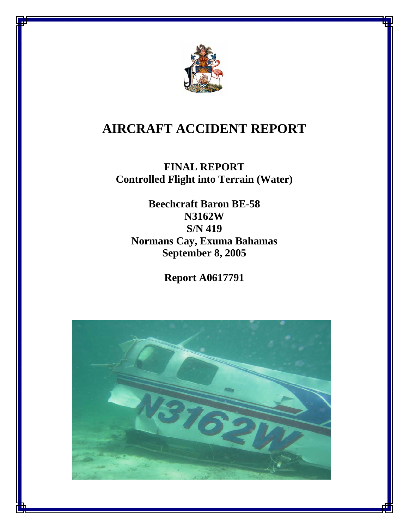

# **AIRCRAFT ACCIDENT REPORT**

**FINAL REPORT Controlled Flight into Terrain (Water)** 

**Beechcraft Baron BE-58 N3162W S/N 419 Normans Cay, Exuma Bahamas September 8, 2005** 

**Report A0617791** 

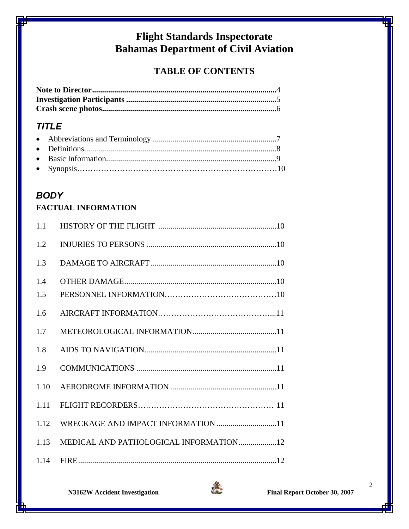# **Flight Standards Inspectorate Bahamas Department of Civil Aviation**

# **TABLE OF CONTENTS**

# *TITLE*

# *BODY*

## **FACTUAL INFORMATION**

| 1.1  |                                        |
|------|----------------------------------------|
| 1.2  |                                        |
| 1.3  |                                        |
| 1.4  |                                        |
| 1.5  |                                        |
| 1.6  |                                        |
| 1.7  |                                        |
| 1.8  |                                        |
| 1.9  |                                        |
| 1.10 |                                        |
| 1.11 |                                        |
| 1.12 | WRECKAGE AND IMPACT INFORMATION 11     |
| 1.13 | MEDICAL AND PATHOLOGICAL INFORMATION12 |
|      |                                        |

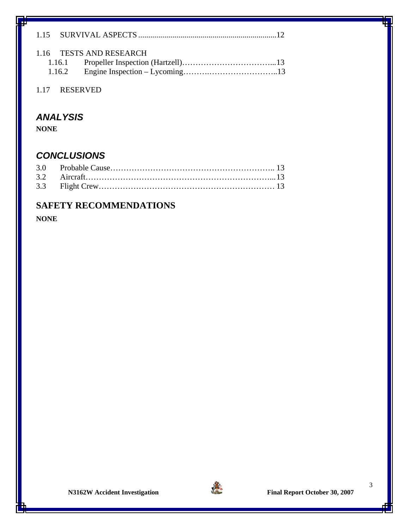|  | 1.16 TESTS AND RESEARCH |  |
|--|-------------------------|--|
|  |                         |  |
|  |                         |  |
|  |                         |  |

1.17 RESERVED

### *ANALYSIS*

**NONE** 

# *CONCLUSIONS*

# **SAFETY RECOMMENDATIONS**

**NONE** 

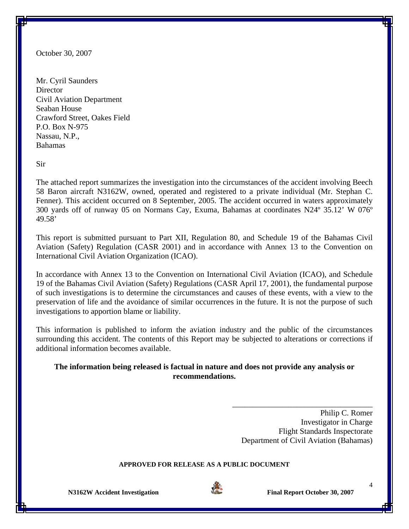October 30, 2007

Mr. Cyril Saunders **Director** Civil Aviation Department Seaban House Crawford Street, Oakes Field P.O. Box N-975 Nassau, N.P., Bahamas

Sir

The attached report summarizes the investigation into the circumstances of the accident involving Beech 58 Baron aircraft N3162W, owned, operated and registered to a private individual (Mr. Stephan C. Fenner). This accident occurred on 8 September, 2005. The accident occurred in waters approximately 300 yards off of runway 05 on Normans Cay, Exuma, Bahamas at coordinates N24º 35.12' W 076º 49.58'

This report is submitted pursuant to Part XII, Regulation 80, and Schedule 19 of the Bahamas Civil Aviation (Safety) Regulation (CASR 2001) and in accordance with Annex 13 to the Convention on International Civil Aviation Organization (ICAO).

In accordance with Annex 13 to the Convention on International Civil Aviation (ICAO), and Schedule 19 of the Bahamas Civil Aviation (Safety) Regulations (CASR April 17, 2001), the fundamental purpose of such investigations is to determine the circumstances and causes of these events, with a view to the preservation of life and the avoidance of similar occurrences in the future. It is not the purpose of such investigations to apportion blame or liability.

This information is published to inform the aviation industry and the public of the circumstances surrounding this accident. The contents of this Report may be subjected to alterations or corrections if additional information becomes available.

#### **The information being released is factual in nature and does not provide any analysis or recommendations.**

Philip C. Romer Investigator in Charge Flight Standards Inspectorate Department of Civil Aviation (Bahamas)

\_\_\_\_\_\_\_\_\_\_\_\_\_\_\_\_\_\_\_\_\_\_\_\_\_\_\_\_\_\_\_\_\_\_\_

#### **APPROVED FOR RELEASE AS A PUBLIC DOCUMENT**

4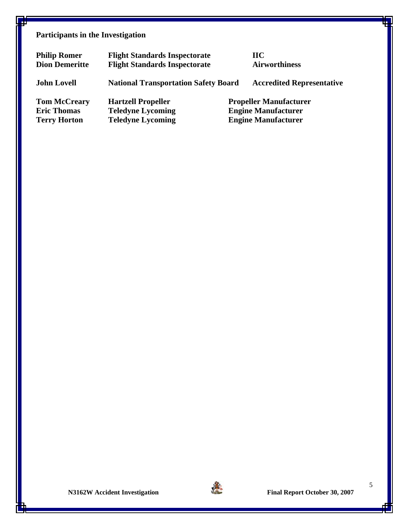# **Participants in the Investigation**

| <b>Philip Romer</b>   | <b>Flight Standards Inspectorate</b>        |  | нс.                              |
|-----------------------|---------------------------------------------|--|----------------------------------|
| <b>Dion Demeritte</b> | <b>Flight Standards Inspectorate</b>        |  | <b>Airworthiness</b>             |
| <b>John Lovell</b>    | <b>National Transportation Safety Board</b> |  | <b>Accredited Representative</b> |
| <b>Tom McCreary</b>   | <b>Hartzell Propeller</b>                   |  | <b>Propeller Manufacturer</b>    |
| <b>Eric Thomas</b>    | <b>Teledyne Lycoming</b>                    |  | <b>Engine Manufacturer</b>       |
| <b>Terry Horton</b>   | <b>Teledyne Lycoming</b>                    |  | <b>Engine Manufacturer</b>       |



5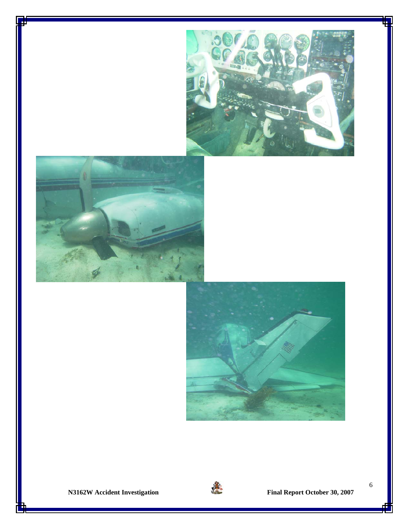





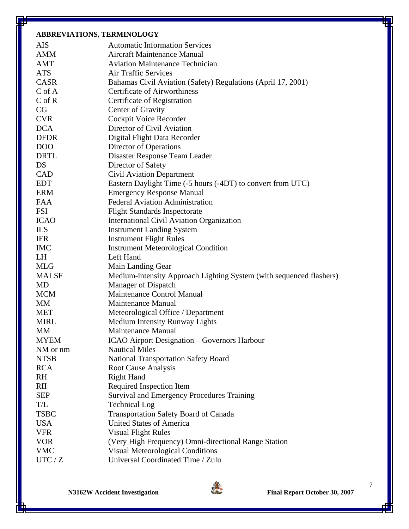### **ABBREVIATIONS, TERMINOLOGY**

| AIS          | <b>Automatic Information Services</b>                               |
|--------------|---------------------------------------------------------------------|
| AMM          | <b>Aircraft Maintenance Manual</b>                                  |
| AMT          | <b>Aviation Maintenance Technician</b>                              |
| <b>ATS</b>   | <b>Air Traffic Services</b>                                         |
| <b>CASR</b>  | Bahamas Civil Aviation (Safety) Regulations (April 17, 2001)        |
| $C$ of $A$   | <b>Certificate of Airworthiness</b>                                 |
| $C$ of $R$   | Certificate of Registration                                         |
| CG           | Center of Gravity                                                   |
| <b>CVR</b>   | Cockpit Voice Recorder                                              |
| <b>DCA</b>   | Director of Civil Aviation                                          |
| <b>DFDR</b>  | Digital Flight Data Recorder                                        |
| DOO          | Director of Operations                                              |
| <b>DRTL</b>  | Disaster Response Team Leader                                       |
| DS           | Director of Safety                                                  |
| CAD          | <b>Civil Aviation Department</b>                                    |
| <b>EDT</b>   | Eastern Daylight Time (-5 hours (-4DT) to convert from UTC)         |
| <b>ERM</b>   | <b>Emergency Response Manual</b>                                    |
| <b>FAA</b>   | <b>Federal Aviation Administration</b>                              |
| <b>FSI</b>   | <b>Flight Standards Inspectorate</b>                                |
| <b>ICAO</b>  | <b>International Civil Aviation Organization</b>                    |
| <b>ILS</b>   | <b>Instrument Landing System</b>                                    |
| <b>IFR</b>   | <b>Instrument Flight Rules</b>                                      |
| <b>IMC</b>   | <b>Instrument Meteorological Condition</b>                          |
| LH           | Left Hand                                                           |
| <b>MLG</b>   | Main Landing Gear                                                   |
| <b>MALSF</b> | Medium-intensity Approach Lighting System (with sequenced flashers) |
| MD           | Manager of Dispatch                                                 |
| <b>MCM</b>   | <b>Maintenance Control Manual</b>                                   |
| MM           | <b>Maintenance Manual</b>                                           |
| <b>MET</b>   | Meteorological Office / Department                                  |
| <b>MIRL</b>  | <b>Medium Intensity Runway Lights</b>                               |
| <b>MM</b>    | <b>Maintenance Manual</b>                                           |
| <b>MYEM</b>  | <b>ICAO Airport Designation – Governors Harbour</b>                 |
| NM or nm     | <b>Nautical Miles</b>                                               |
| <b>NTSB</b>  | <b>National Transportation Safety Board</b>                         |
| <b>RCA</b>   | <b>Root Cause Analysis</b>                                          |
| <b>RH</b>    | <b>Right Hand</b>                                                   |
| <b>RII</b>   | Required Inspection Item                                            |
| <b>SEP</b>   | <b>Survival and Emergency Procedures Training</b>                   |
| T/L          | <b>Technical Log</b>                                                |
| <b>TSBC</b>  | Transportation Safety Board of Canada                               |
| <b>USA</b>   | <b>United States of America</b>                                     |
| <b>VFR</b>   | <b>Visual Flight Rules</b>                                          |
| <b>VOR</b>   | (Very High Frequency) Omni-directional Range Station                |
| <b>VMC</b>   | <b>Visual Meteorological Conditions</b>                             |
| UTC / Z      | Universal Coordinated Time / Zulu                                   |
|              |                                                                     |



7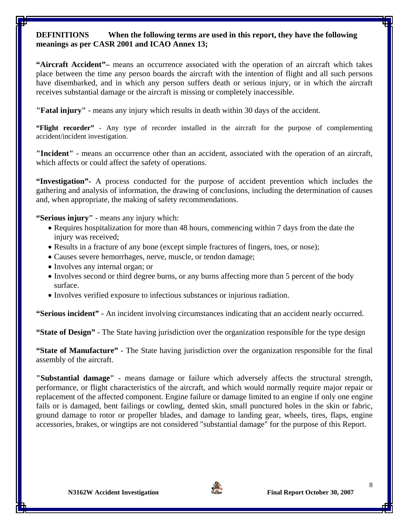#### **DEFINITIONS When the following terms are used in this report, they have the following meanings as per CASR 2001 and ICAO Annex 13;**

**"Aircraft Accident"–** means an occurrence associated with the operation of an aircraft which takes place between the time any person boards the aircraft with the intention of flight and all such persons have disembarked, and in which any person suffers death or serious injury, or in which the aircraft receives substantial damage or the aircraft is missing or completely inaccessible.

**"Fatal injury"** - means any injury which results in death within 30 days of the accident.

**"Flight recorder"** - Any type of recorder installed in the aircraft for the purpose of complementing accident/incident investigation.

**"Incident"** - means an occurrence other than an accident, associated with the operation of an aircraft, which affects or could affect the safety of operations.

**"Investigation"-** A process conducted for the purpose of accident prevention which includes the gathering and analysis of information, the drawing of conclusions, including the determination of causes and, when appropriate, the making of safety recommendations.

**"Serious injury"** - means any injury which:

- Requires hospitalization for more than 48 hours, commencing within 7 days from the date the injury was received;
- Results in a fracture of any bone (except simple fractures of fingers, toes, or nose);
- Causes severe hemorrhages, nerve, muscle, or tendon damage;
- Involves any internal organ; or
- Involves second or third degree burns, or any burns affecting more than 5 percent of the body surface.
- Involves verified exposure to infectious substances or injurious radiation.

**"Serious incident" -** An incident involving circumstances indicating that an accident nearly occurred.

**"State of Design"** - The State having jurisdiction over the organization responsible for the type design

**"State of Manufacture"** - The State having jurisdiction over the organization responsible for the final assembly of the aircraft.

**"Substantial damage"** - means damage or failure which adversely affects the structural strength, performance, or flight characteristics of the aircraft, and which would normally require major repair or replacement of the affected component. Engine failure or damage limited to an engine if only one engine fails or is damaged, bent failings or cowling, dented skin, small punctured holes in the skin or fabric, ground damage to rotor or propeller blades, and damage to landing gear, wheels, tires, flaps, engine accessories, brakes, or wingtips are not considered "substantial damage" for the purpose of this Report.

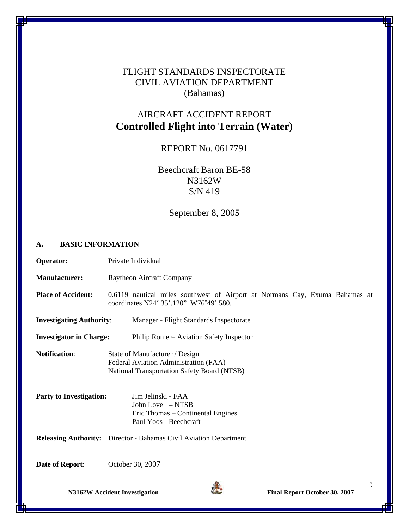FLIGHT STANDARDS INSPECTORATE CIVIL AVIATION DEPARTMENT (Bahamas)

# AIRCRAFT ACCIDENT REPORT **Controlled Flight into Terrain (Water)**

REPORT No. 0617791

Beechcraft Baron BE-58 N3162W S/N 419

September 8, 2005

#### **A. BASIC INFORMATION**

|                                                                          | N3162W Accident Investigation                                                                                          | 9<br><b>Final Report October 30, 2007</b> |  |
|--------------------------------------------------------------------------|------------------------------------------------------------------------------------------------------------------------|-------------------------------------------|--|
| Date of Report:                                                          | October 30, 2007                                                                                                       |                                           |  |
| <b>Releasing Authority:</b> Director - Bahamas Civil Aviation Department |                                                                                                                        |                                           |  |
| <b>Party to Investigation:</b>                                           | Jim Jelinski - FAA<br>John Lovell - NTSB<br>Eric Thomas – Continental Engines<br>Paul Yoos - Beechcraft                |                                           |  |
| <b>Notification:</b>                                                     | State of Manufacturer / Design<br>Federal Aviation Administration (FAA)<br>National Transportation Safety Board (NTSB) |                                           |  |
| <b>Investigator in Charge:</b>                                           | Philip Romer-Aviation Safety Inspector                                                                                 |                                           |  |
| <b>Investigating Authority:</b>                                          | Manager - Flight Standards Inspectorate                                                                                |                                           |  |
| <b>Place of Accident:</b>                                                | 0.6119 nautical miles southwest of Airport at Normans Cay, Exuma Bahamas at<br>coordinates N24° 35'.120" W76°49'.580.  |                                           |  |
| <b>Manufacturer:</b>                                                     | Raytheon Aircraft Company                                                                                              |                                           |  |
| <b>Operator:</b>                                                         | Private Individual                                                                                                     |                                           |  |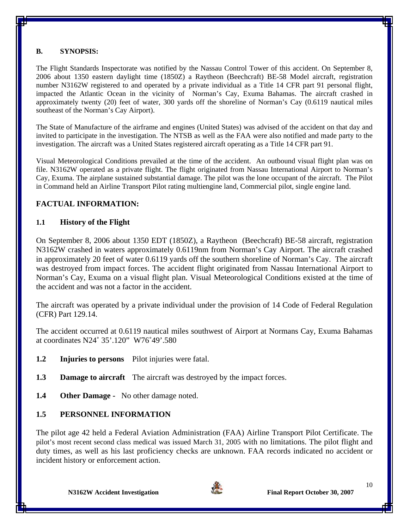#### **B. SYNOPSIS:**

The Flight Standards Inspectorate was notified by the Nassau Control Tower of this accident. On September 8, 2006 about 1350 eastern daylight time (1850Z) a Raytheon (Beechcraft) BE-58 Model aircraft, registration number N3162W registered to and operated by a private individual as a Title 14 CFR part 91 personal flight, impacted the Atlantic Ocean in the vicinity of Norman's Cay, Exuma Bahamas. The aircraft crashed in approximately twenty (20) feet of water, 300 yards off the shoreline of Norman's Cay (0.6119 nautical miles southeast of the Norman's Cay Airport).

The State of Manufacture of the airframe and engines (United States) was advised of the accident on that day and invited to participate in the investigation. The NTSB as well as the FAA were also notified and made party to the investigation. The aircraft was a United States registered aircraft operating as a Title 14 CFR part 91.

Visual Meteorological Conditions prevailed at the time of the accident. An outbound visual flight plan was on file. N3162W operated as a private flight. The flight originated from Nassau International Airport to Norman's Cay, Exuma. The airplane sustained substantial damage. The pilot was the lone occupant of the aircraft. The Pilot in Command held an Airline Transport Pilot rating multiengine land, Commercial pilot, single engine land.

#### **FACTUAL INFORMATION:**

#### **1.1 History of the Flight**

On September 8, 2006 about 1350 EDT (1850Z), a Raytheon (Beechcraft) BE-58 aircraft, registration N3162W crashed in waters approximately 0.6119nm from Norman's Cay Airport. The aircraft crashed in approximately 20 feet of water 0.6119 yards off the southern shoreline of Norman's Cay. The aircraft was destroyed from impact forces. The accident flight originated from Nassau International Airport to Norman's Cay, Exuma on a visual flight plan. Visual Meteorological Conditions existed at the time of the accident and was not a factor in the accident.

The aircraft was operated by a private individual under the provision of 14 Code of Federal Regulation (CFR) Part 129.14.

The accident occurred at 0.6119 nautical miles southwest of Airport at Normans Cay, Exuma Bahamas at coordinates N24˚ 35'.120" W76˚49'.580

- **1.2 Injuries to persons** Pilot injuries were fatal.
- **1.3** Damage to aircraft The aircraft was destroyed by the impact forces.
- **1.4 Other Damage** No other damage noted.

#### **1.5 PERSONNEL INFORMATION**

The pilot age 42 held a Federal Aviation Administration (FAA) Airline Transport Pilot Certificate. The pilot's most recent second class medical was issued March 31, 2005 with no limitations. The pilot flight and duty times, as well as his last proficiency checks are unknown. FAA records indicated no accident or incident history or enforcement action.

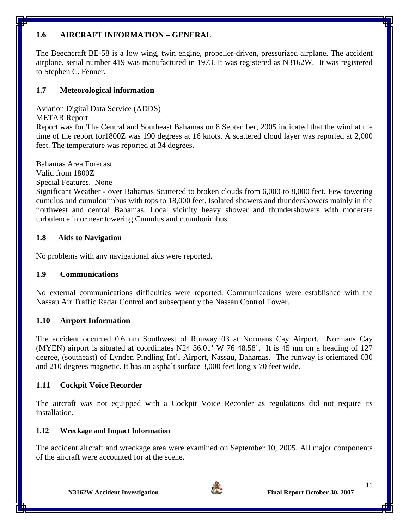#### **1.6 AIRCRAFT INFORMATION – GENERAL**

The Beechcraft BE-58 is a low wing, twin engine, propeller-driven, pressurized airplane. The accident airplane, serial number 419 was manufactured in 1973. It was registered as N3162W. It was registered to Stephen C. Fenner.

### **1.7 Meteorological information**

Aviation Digital Data Service (ADDS) METAR Report

Report was for The Central and Southeast Bahamas on 8 September, 2005 indicated that the wind at the time of the report for1800Z was 190 degrees at 16 knots. A scattered cloud layer was reported at 2,000 feet. The temperature was reported at 34 degrees.

Bahamas Area Forecast Valid from 1800Z Special Features. None

Significant Weather - over Bahamas Scattered to broken clouds from 6,000 to 8,000 feet. Few towering cumulus and cumulonimbus with tops to 18,000 feet. Isolated showers and thundershowers mainly in the northwest and central Bahamas. Local vicinity heavy shower and thundershowers with moderate turbulence in or near towering Cumulus and cumulonimbus.

### **1.8 Aids to Navigation**

No problems with any navigational aids were reported.

#### **1.9 Communications**

No external communications difficulties were reported. Communications were established with the Nassau Air Traffic Radar Control and subsequently the Nassau Control Tower.

#### **1.10 Airport Information**

The accident occurred 0.6 nm Southwest of Runway 03 at Normans Cay Airport. Normans Cay (MYEN) airport is situated at coordinates N24 36.01' W 76 48.58'. It is 45 nm on a heading of 127 degree, (southeast) of Lynden Pindling Int'l Airport, Nassau, Bahamas. The runway is orientated 030 and 210 degrees magnetic. It has an asphalt surface 3,000 feet long x 70 feet wide.

### **1.11 Cockpit Voice Recorder**

The aircraft was not equipped with a Cockpit Voice Recorder as regulations did not require its installation.

#### **1.12 Wreckage and Impact Information**

The accident aircraft and wreckage area were examined on September 10, 2005. All major components of the aircraft were accounted for at the scene.

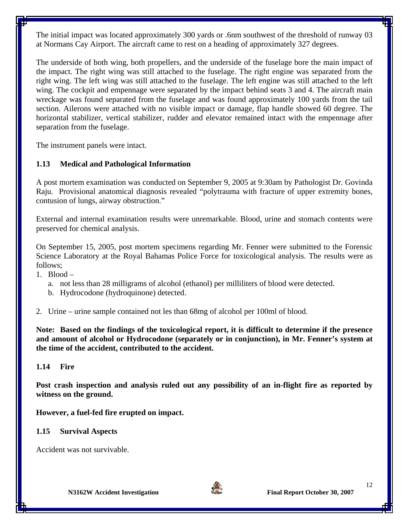The initial impact was located approximately 300 yards or .6nm southwest of the threshold of runway 03 at Normans Cay Airport. The aircraft came to rest on a heading of approximately 327 degrees.

The underside of both wing, both propellers, and the underside of the fuselage bore the main impact of the impact. The right wing was still attached to the fuselage. The right engine was separated from the right wing. The left wing was still attached to the fuselage. The left engine was still attached to the left wing. The cockpit and empennage were separated by the impact behind seats 3 and 4. The aircraft main wreckage was found separated from the fuselage and was found approximately 100 yards from the tail section. Ailerons were attached with no visible impact or damage, flap handle showed 60 degree. The horizontal stabilizer, vertical stabilizer, rudder and elevator remained intact with the empennage after separation from the fuselage.

The instrument panels were intact.

#### **1.13 Medical and Pathological Information**

A post mortem examination was conducted on September 9, 2005 at 9:30am by Pathologist Dr. Govinda Raju. Provisional anatomical diagnosis revealed "polytrauma with fracture of upper extremity bones, contusion of lungs, airway obstruction."

External and internal examination results were unremarkable. Blood, urine and stomach contents were preserved for chemical analysis.

On September 15, 2005, post mortem specimens regarding Mr. Fenner were submitted to the Forensic Science Laboratory at the Royal Bahamas Police Force for toxicological analysis. The results were as follows;

1. Blood –

- a. not less than 28 milligrams of alcohol (ethanol) per milliliters of blood were detected.
- b. Hydrocodone (hydroquinone) detected.
- 2. Urine urine sample contained not les than 68mg of alcohol per 100ml of blood.

**Note: Based on the findings of the toxicological report, it is difficult to determine if the presence and amount of alcohol or Hydrocodone (separately or in conjunction), in Mr. Fenner's system at the time of the accident, contributed to the accident.** 

#### **1.14 Fire**

**Post crash inspection and analysis ruled out any possibility of an in-flight fire as reported by witness on the ground.** 

**However, a fuel-fed fire erupted on impact.** 

#### **1.15 Survival Aspects**

Accident was not survivable.

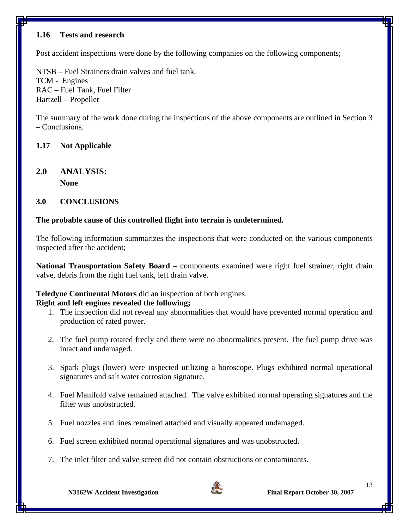#### **1.16 Tests and research**

Post accident inspections were done by the following companies on the following components;

NTSB – Fuel Strainers drain valves and fuel tank. TCM - Engines RAC – Fuel Tank, Fuel Filter Hartzell – Propeller

The summary of the work done during the inspections of the above components are outlined in Section 3 – Conclusions.

#### **1.17 Not Applicable**

**2.0 ANALYSIS: None** 

#### **3.0 CONCLUSIONS**

#### **The probable cause of this controlled flight into terrain is undetermined.**

The following information summarizes the inspections that were conducted on the various components inspected after the accident;

**National Transportation Safety Board** – components examined were right fuel strainer, right drain valve, debris from the right fuel tank, left drain valve.

#### **Teledyne Continental Motors** did an inspection of both engines.

#### **Right and left engines revealed the following;**

- 1. The inspection did not reveal any abnormalities that would have prevented normal operation and production of rated power.
- 2. The fuel pump rotated freely and there were no abnormalities present. The fuel pump drive was intact and undamaged.
- 3. Spark plugs (lower) were inspected utilizing a boroscope. Plugs exhibited normal operational signatures and salt water corrosion signature.
- 4. Fuel Manifold valve remained attached. The valve exhibited normal operating signatures and the filter was unobstructed.
- 5. Fuel nozzles and lines remained attached and visually appeared undamaged.
- 6. Fuel screen exhibited normal operational signatures and was unobstructed.
- 7. The inlet filter and valve screen did not contain obstructions or contaminants.

**N3162W Accident Investigation Final Report October 30, 2007** 



13